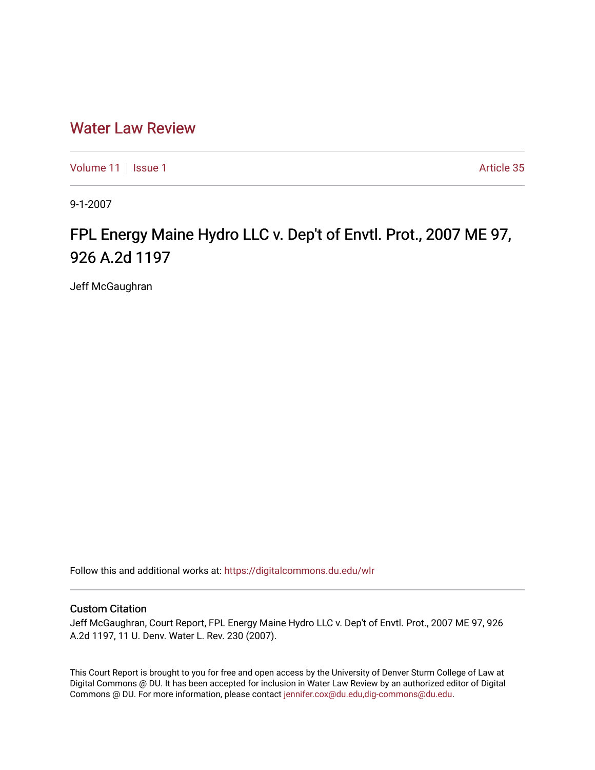# [Water Law Review](https://digitalcommons.du.edu/wlr)

[Volume 11](https://digitalcommons.du.edu/wlr/vol11) | [Issue 1](https://digitalcommons.du.edu/wlr/vol11/iss1) Article 35

9-1-2007

# FPL Energy Maine Hydro LLC v. Dep't of Envtl. Prot., 2007 ME 97, 926 A.2d 1197

Jeff McGaughran

Follow this and additional works at: [https://digitalcommons.du.edu/wlr](https://digitalcommons.du.edu/wlr?utm_source=digitalcommons.du.edu%2Fwlr%2Fvol11%2Fiss1%2F35&utm_medium=PDF&utm_campaign=PDFCoverPages) 

## Custom Citation

Jeff McGaughran, Court Report, FPL Energy Maine Hydro LLC v. Dep't of Envtl. Prot., 2007 ME 97, 926 A.2d 1197, 11 U. Denv. Water L. Rev. 230 (2007).

This Court Report is brought to you for free and open access by the University of Denver Sturm College of Law at Digital Commons @ DU. It has been accepted for inclusion in Water Law Review by an authorized editor of Digital Commons @ DU. For more information, please contact [jennifer.cox@du.edu,dig-commons@du.edu.](mailto:jennifer.cox@du.edu,dig-commons@du.edu)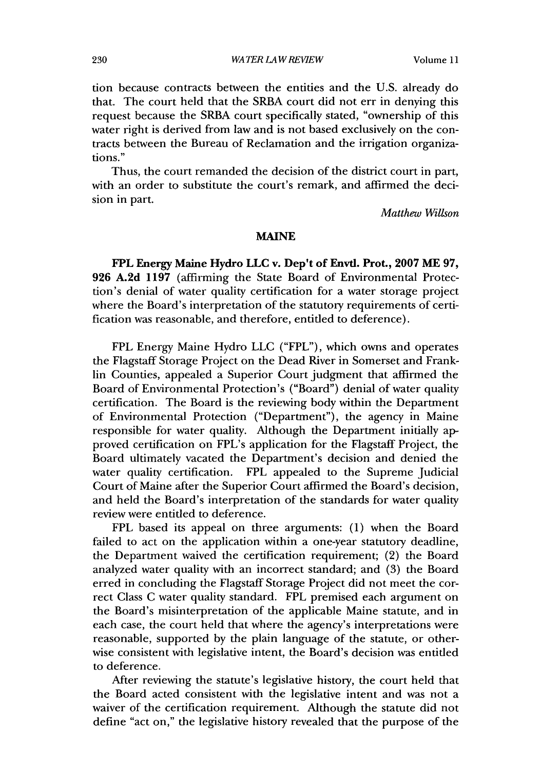tion because contracts between the entities and the U.S. already do that. The court held that the SRBA court did not err in denying this request because the SRBA court specifically stated, "ownership of this water right is derived from law and is not based exclusively on the contracts between the Bureau of Reclamation and the irrigation organizations."

Thus, the court remanded the decision of the district court in part, with an order to substitute the court's remark, and affirmed the decision in part.

*Matthew Willson*

### **MAINE**

**FPL** Energy Maine Hydro **LLC** v. Dep't **of Envtl.** Prot., **2007 ME 97, 926 A.2d 1197** (affirming the **State** Board of Environmental Protection's denial of water quality certification for a water storage project where the Board's interpretation of the statutory requirements of certification was reasonable, and therefore, entitled to deference).

FPL Energy Maine Hydro LLC ("FPL"), which owns and operates the Flagstaff Storage Project on the Dead River in Somerset and Franklin Counties, appealed a Superior Court judgment that affirmed the Board of Environmental Protection's ("Board") denial of water quality certification. The Board is the reviewing body within the Department of Environmental Protection ("Department"), the agency in Maine responsible for water quality. Although the Department initially approved certification on FPL's application for the Flagstaff Project, the Board ultimately vacated the Department's decision and denied the water quality certification. FPL appealed to the Supreme Judicial Court of Maine after the Superior Court affirmed the Board's decision, and held the Board's interpretation of the standards for water quality review were entitled to deference.

FPL based its appeal on three arguments: (1) when the Board failed to act on the application within a one-year statutory deadline, the Department waived the certification requirement; (2) the Board analyzed water quality with an incorrect standard; and (3) the Board erred in concluding the Flagstaff Storage Project did not meet the correct Class C water quality standard. FPL premised each argument on the Board's misinterpretation of the applicable Maine statute, and in each case, the court held that where the agency's interpretations were reasonable, supported by the plain language of the statute, or otherwise consistent with legislative intent, the Board's decision was entitled to deference.

After reviewing the statute's legislative history, the court held that the Board acted consistent with the legislative intent and was not a waiver of the certification requirement. Although the statute did not define "act on," the legislative history revealed that the purpose of the